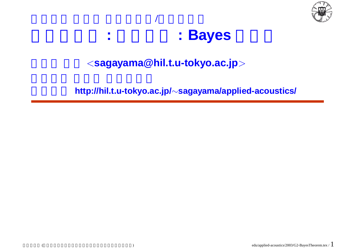



## 嵯峨山 茂樹 <**sagayama@hil.t.u-tokyo.ac.jp**>

資料所在 **http://hil.t.u-tokyo.ac.jp/**∼**sagayama/applied-acoustics/**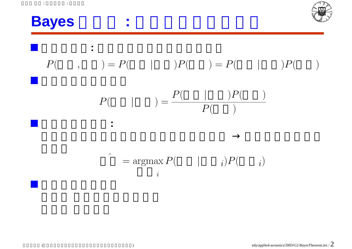$\mathbf{G}$  : can be increased in

# **Bayes**





原因、結果**:** それらが同時に起こる確率は  $P(\qquad, \qquad) = P(\qquad | \qquad)P(\qquad) = P(\qquad | \qquad)P(\qquad)$  $P(\begin{array}{c|c} R & \end{array}) = \frac{P(\begin{array}{c|c} R & \end{array})P(\begin{array}{c} R & \end{array})}{P(\begin{array}{c} R & \end{array})}$  $P(\qquad)$ 事後確率最大化**:**  $\hat{P}$  = argmax  $P($  |  $_i)P($  |  $)$ 原因<sup>i</sup>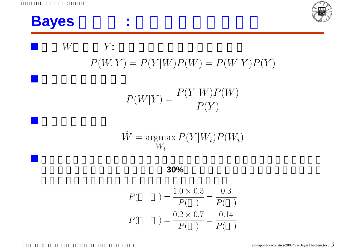$\mathbf{r}$ 



 $W \hspace{1.6cm} Y \textbf{:}$ 

**Bayes** :

$$
P(W,Y) = P(Y|W)P(W) = P(W|Y)P(Y)
$$

$$
P(W|Y) = \frac{P(Y|W)P(W)}{P(Y)}
$$

$$
\hat{W} = \operatorname*{argmax}_{W_i} P(Y|W_i) P(W_i)
$$

### 来る。ところで本日の降水確率は**30%**であった。では、熊雄が傘を持って現

$$
P(\quad | \quad) = \frac{1.0 \times 0.3}{P(\quad)} = \frac{0.3}{P(\quad)}
$$

$$
P(\quad | \quad) = \frac{0.2 \times 0.7}{P(\quad)} = \frac{0.14}{P(\quad)}
$$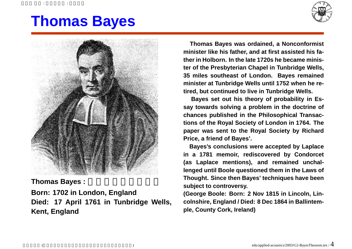# **Thomas Bayes**

嵯峨山 茂樹 : 応用音響学 : 音声認識





**Thomas Bayes :** 

**Born: 1702 in London, England Died: 17 April 1761 in Tunbridge Wells, Kent, England**

**Thomas Bayes was ordained, a Nonconformist minister like his father, and at first assisted his father in Holborn. In the late 1720s he became minister of the Presbyterian Chapel in Tunbridge Wells, 35 miles southeast of London. Bayes remained minister at Tunbridge Wells until 1752 when he retired, but continued to live in Tunbridge Wells.**

**Bayes set out his theory of probability in Essay towards solving a problem in the doctrine of chances published in the Philosophical Transactions of the Royal Society of London in 1764. The paper was sent to the Royal Society by Richard Price, a friend of Bayes'.**

**Bayes's conclusions were accepted by Laplace in a 1781 memoir, rediscovered by Condorcet (as Laplace mentions), and remained unchallenged until Boole questioned them in the Laws of Thought. Since then Bayes' techniques have been subject to controversy.**

**(George Boole: Born: 2 Nov 1815 in Lincoln, Lincolnshire, England / Died: 8 Dec 1864 in Ballintemple, County Cork, Ireland)**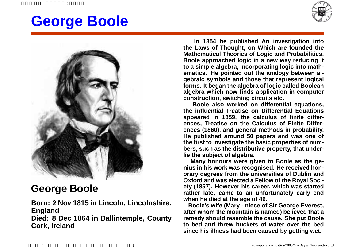#### 嵯峨山 茂樹 : 応用音響学 : 音声認識







## **George Boole**

**Born: 2 Nov 1815 in Lincoln, Lincolnshire, England**

**Died: 8 Dec 1864 in Ballintemple, County Cork, Ireland**

**In 1854 he published An investigation into the Laws of Thought, on Which are founded the Mathematical Theories of Logic and Probabilities. Boole approached logic in a new way reducing it to a simple algebra, incorporating logic into mathematics. He pointed out the analogy between algebraic symbols and those that represent logical forms. It began the algebra of logic called Boolean algebra which now finds application in computer construction, switching circuits etc.**

**Boole also worked on differential equations, the influential Treatise on Differential Equations appeared in 1859, the calculus of finite differences, Treatise on the Calculus of Finite Differences (1860), and general methods in probability. He published around 50 papers and was one of the first to investigate the basic properties of numbers, such as the distributive property, that underlie the subject of algebra.**

**Many honours were given to Boole as the genius in his work was recognised. He received honorary degrees from the universities of Dublin and Oxford and was elected a Fellow of the Royal Society (1857). However his career, which was started rather late, came to an unfortunately early end when he died at the age of 49.**

**Boole's wife (Mary - niece of Sir George Everest, after whom the mountain is named) believed that a remedy should resemble the cause. She put Boole to bed and threw buckets of water over the bed since his illness had been caused by getting wet.**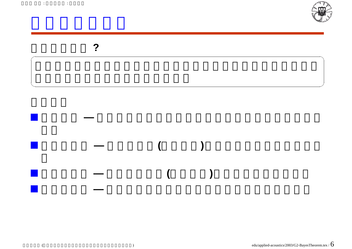



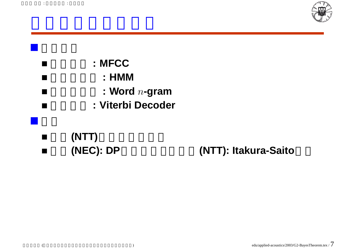

 $\blacksquare$ 

**The Second** 



- 音声分析 **: MFCC**
	- 音響モデル **: HMM**
	- : Word *n*-gram
	- **: Viterbi Decoder**
- 日本**(NTT)**が活躍した分野  $\blacksquare$

(NEC): DP (NTT): Itakura-Saito